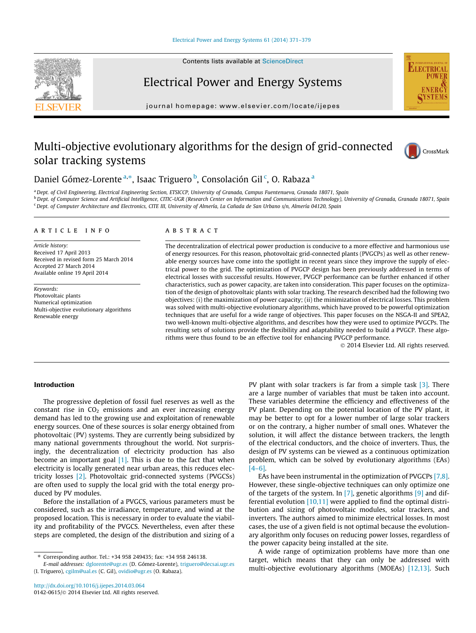

Contents lists available at [ScienceDirect](http://www.sciencedirect.com/science/journal/01420615)

## Electrical Power and Energy Systems

journal homepage: [www.elsevier.com/locate/ijepes](http://www.elsevier.com/locate/ijepes)

# Multi-objective evolutionary algorithms for the design of grid-connected solar tracking systems



### Daniel Gómez-Lorente<sup>a,\*</sup>, Isaac Triguero <sup>b</sup>, Consolación Gil <sup>c</sup>, O. Rabaza <sup>a</sup>

a Dept. of Civil Engineering, Electrical Engineering Section, ETSICCP, University of Granada, Campus Fuentenueva, Granada 18071, Spain <sup>b</sup> Dept. of Computer Science and Artificial Intelligence, CITIC-UGR (Research Center on Information and Communications Technology), University of Granada, Granada 18071, Spain <sup>c</sup> Dept. of Computer Architecture and Electronics, CITE III, University of Almería, La Cañada de San Urbano s/n, Almería 04120, Spain

#### article info

Article history: Received 17 April 2013 Received in revised form 25 March 2014 Accepted 27 March 2014 Available online 19 April 2014

Keywords: Photovoltaic plants Numerical optimization Multi-objective evolutionary algorithms Renewable energy

#### A B S T R A C T

The decentralization of electrical power production is conducive to a more effective and harmonious use of energy resources. For this reason, photovoltaic grid-connected plants (PVGCPs) as well as other renewable energy sources have come into the spotlight in recent years since they improve the supply of electrical power to the grid. The optimization of PVGCP design has been previously addressed in terms of electrical losses with successful results. However, PVGCP performance can be further enhanced if other characteristics, such as power capacity, are taken into consideration. This paper focuses on the optimization of the design of photovoltaic plants with solar tracking. The research described had the following two objectives: (i) the maximization of power capacity; (ii) the minimization of electrical losses. This problem was solved with multi-objective evolutionary algorithms, which have proved to be powerful optimization techniques that are useful for a wide range of objectives. This paper focuses on the NSGA-II and SPEA2, two well-known multi-objective algorithms, and describes how they were used to optimize PVGCPs. The resulting sets of solutions provide the flexibility and adaptability needed to build a PVGCP. These algorithms were thus found to be an effective tool for enhancing PVGCP performance.

- 2014 Elsevier Ltd. All rights reserved.

#### Introduction

The progressive depletion of fossil fuel reserves as well as the constant rise in  $CO<sub>2</sub>$  emissions and an ever increasing energy demand has led to the growing use and exploitation of renewable energy sources. One of these sources is solar energy obtained from photovoltaic (PV) systems. They are currently being subsidized by many national governments throughout the world. Not surprisingly, the decentralization of electricity production has also become an important goal  $[1]$ . This is due to the fact that when electricity is locally generated near urban areas, this reduces electricity losses [\[2\]](#page--1-0). Photovoltaic grid-connected systems (PVGCSs) are often used to supply the local grid with the total energy produced by PV modules.

Before the installation of a PVGCS, various parameters must be considered, such as the irradiance, temperature, and wind at the proposed location. This is necessary in order to evaluate the viability and profitability of the PVGCS. Nevertheless, even after these steps are completed, the design of the distribution and sizing of a PV plant with solar trackers is far from a simple task [\[3\].](#page--1-0) There are a large number of variables that must be taken into account. These variables determine the efficiency and effectiveness of the PV plant. Depending on the potential location of the PV plant, it may be better to opt for a lower number of large solar trackers or on the contrary, a higher number of small ones. Whatever the solution, it will affect the distance between trackers, the length of the electrical conductors, and the choice of inverters. Thus, the design of PV systems can be viewed as a continuous optimization problem, which can be solved by evolutionary algorithms (EAs) [\[4–6\].](#page--1-0)

EAs have been instrumental in the optimization of PVGCPs [\[7,8\].](#page--1-0) However, these single-objective techniques can only optimize one of the targets of the system. In  $[7]$ , genetic algorithms  $[9]$  and differential evolution [\[10,11\]](#page--1-0) were applied to find the optimal distribution and sizing of photovoltaic modules, solar trackers, and inverters. The authors aimed to minimize electrical losses. In most cases, the use of a given field is not optimal because the evolutionary algorithm only focuses on reducing power losses, regardless of the power capacity being installed at the site.

A wide range of optimization problems have more than one target, which means that they can only be addressed with multi-objective evolutionary algorithms (MOEAs) [\[12,13\].](#page--1-0) Such

Corresponding author. Tel.: +34 958 249435; fax: +34 958 246138.

E-mail addresses: [dglorente@ugr.es](mailto:dglorente@ugr.es) (D. Gómez-Lorente), [triguero@decsai.ugr.es](mailto:triguero@decsai.ugr.es) (I. Triguero), [cgilm@ual.es](mailto:cgilm@ual.es) (C. Gil), [ovidio@ugr.es](mailto:ovidio@ugr.es) (O. Rabaza).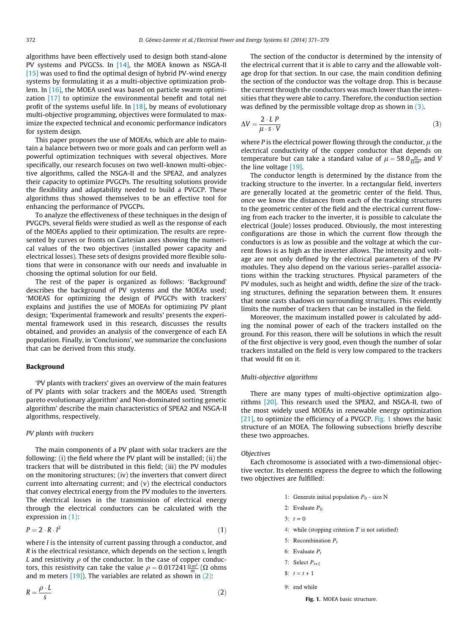algorithms have been effectively used to design both stand-alone PV systems and PVGCSs. In [\[14\],](#page--1-0) the MOEA known as NSGA-II [\[15\]](#page--1-0) was used to find the optimal design of hybrid PV-wind energy systems by formulating it as a multi-objective optimization problem. In [\[16\],](#page--1-0) the MOEA used was based on particle swarm optimization [\[17\]](#page--1-0) to optimize the environmental benefit and total net profit of the systems useful life. In [\[18\]](#page--1-0), by means of evolutionary multi-objective programming, objectives were formulated to maximize the expected technical and economic performance indicators for system design.

This paper proposes the use of MOEAs, which are able to maintain a balance between two or more goals and can perform well as powerful optimization techniques with several objectives. More specifically, our research focuses on two well-known multi-objective algorithms, called the NSGA-II and the SPEA2, and analyzes their capacity to optimize PVGCPs. The resulting solutions provide the flexibility and adaptability needed to build a PVGCP. These algorithms thus showed themselves to be an effective tool for enhancing the performance of PVGCPs.

To analyze the effectiveness of these techniques in the design of PVGCPs, several fields were studied as well as the response of each of the MOEAs applied to their optimization. The results are represented by curves or fronts on Cartesian axes showing the numerical values of the two objectives (installed power capacity and electrical losses). These sets of designs provided more flexible solutions that were in consonance with our needs and invaluable in choosing the optimal solution for our field.

The rest of the paper is organized as follows: 'Background' describes the background of PV systems and the MOEAs used; 'MOEAS for optimizing the design of PVGCPs with trackers' explains and justifies the use of MOEAs for optimizing PV plant design; 'Experimental framework and results' presents the experimental framework used in this research, discusses the results obtained, and provides an analysis of the convergence of each EA population. Finally, in 'Conclusions', we summarize the conclusions that can be derived from this study.

#### Background

'PV plants with trackers' gives an overview of the main features of PV plants with solar trackers and the MOEAs used. 'Strength pareto evolutionary algorithm' and Non-dominated sorting genetic algorithm' describe the main characteristics of SPEA2 and NSGA-II algorithms, respectively.

#### PV plants with trackers

The main components of a PV plant with solar trackers are the following: (i) the field where the PV plant will be installed; (ii) the trackers that will be distributed in this field; (iii) the PV modules on the monitoring structures; (iv) the inverters that convert direct current into alternating current; and (v) the electrical conductors that convey electrical energy from the PV modules to the inverters. The electrical losses in the transmission of electrical energy through the electrical conductors can be calculated with the expression in (1):

$$
P = 2 \cdot R \cdot I^2 \tag{1}
$$

where *I* is the intensity of current passing through a conductor, and R is the electrical resistance, which depends on the section s, length L and resistivity  $\rho$  of the conductor. In the case of copper conductors, this resistivity can take the value  $\rho =$  0.017241 $\frac{\Omega \cdot \text{m}^2}{\text{m}}$  ( $\Omega$  ohms and m meters  $[19]$ ). The variables are related as shown in  $(2)$ :

$$
R = \frac{\rho \cdot L}{s} \tag{2}
$$

The section of the conductor is determined by the intensity of the electrical current that it is able to carry and the allowable voltage drop for that section. In our case, the main condition defining the section of the conductor was the voltage drop. This is because the current through the conductors was much lower than the intensities that they were able to carry. Therefore, the conduction section was defined by the permissible voltage drop as shown in (3).

$$
\Delta V = \frac{2 \cdot LP}{\mu \cdot s \cdot V} \tag{3}
$$

where P is the electrical power flowing through the conductor,  $\mu$  the electrical conductivity of the copper conductor that depends on temperature but can take a standard value of  $\mu = 58.0 \frac{m}{\Omega \cdot m^2}$  and V the line voltage [\[19\]](#page--1-0).

The conductor length is determined by the distance from the tracking structure to the inverter. In a rectangular field, inverters are generally located at the geometric center of the field. Thus, once we know the distances from each of the tracking structures to the geometric center of the field and the electrical current flowing from each tracker to the inverter, it is possible to calculate the electrical (Joule) losses produced. Obviously, the most interesting configurations are those in which the current flow through the conductors is as low as possible and the voltage at which the current flows is as high as the inverter allows. The intensity and voltage are not only defined by the electrical parameters of the PV modules. They also depend on the various series–parallel associations within the tracking structures. Physical parameters of the PV modules, such as height and width, define the size of the tracking structures, defining the separation between them. It ensures that none casts shadows on surrounding structures. This evidently limits the number of trackers that can be installed in the field.

Moreover, the maximum installed power is calculated by adding the nominal power of each of the trackers installed on the ground. For this reason, there will be solutions in which the result of the first objective is very good, even though the number of solar trackers installed on the field is very low compared to the trackers that would fit on it.

#### Multi-objective algorithms

There are many types of multi-objective optimization algorithms [\[20\].](#page--1-0) This research used the SPEA2, and NSGA-II, two of the most widely used MOEAs in renewable energy optimization [\[21\]](#page--1-0), to optimize the efficiency of a PVGCP. Fig. 1 shows the basic structure of an MOEA. The following subsections briefly describe these two approaches.

#### **Objectives**

Each chromosome is associated with a two-dimensional objective vector. Its elements express the degree to which the following two objectives are fulfilled:

- 1: Generate initial population  $P_0$  size N
- 2: Evaluate  $P_0$
- $3: t = 0$
- 4: while (stopping criterion  $T$  is not satisfied)
- 5: Recombination  $P_t$
- 6: Evaluate  $P_t$
- 7: Select  $P_{t+1}$
- 8:  $t = t + 1$
- 9: end while